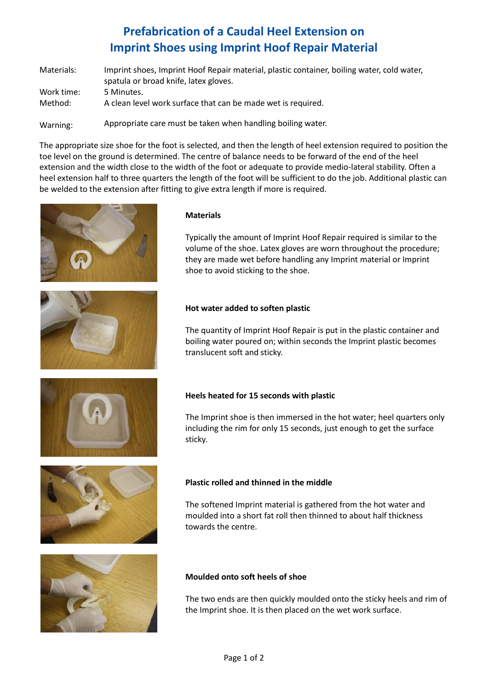# **Prefabrication of a Caudal Heel Extension on Imprint Shoes using Imprint Hoof Repair Material**

| Materials:            | Imprint shoes, Imprint Hoof Repair material, plastic container, boiling water, cold water,<br>spatula or broad knife, latex gloves. |
|-----------------------|-------------------------------------------------------------------------------------------------------------------------------------|
| Work time:<br>Method: | 5 Minutes.<br>A clean level work surface that can be made wet is required.                                                          |
| Warning:              | Appropriate care must be taken when handling boiling water.                                                                         |

The appropriate size shoe for the foot is selected, and then the length of heel extension required to position the toe level on the ground is determined. The centre of balance needs to be forward of the end of the heel extension and the width close to the width of the foot or adequate to provide medio-lateral stability. Often a heel extension half to three quarters the length of the foot will be sufficient to do the job. Additional plastic can be welded to the extension after fitting to give extra length if more is required.











## **Materials**

Typically the amount of Imprint Hoof Repair required is similar to the volume of the shoe. Latex gloves are worn throughout the procedure; they are made wet before handling any Imprint material or Imprint shoe to avoid sticking to the shoe.

### **Hot water added to soften plastic**

The quantity of Imprint Hoof Repair is put in the plastic container and boiling water poured on; within seconds the Imprint plastic becomes translucent soft and sticky.

## **Heels heated for 15 seconds with plastic**

The Imprint shoe is then immersed in the hot water; heel quarters only including the rim for only 15 seconds, just enough to get the surface sticky.

## **Plastic rolled and thinned in the middle**

The softened Imprint material is gathered from the hot water and moulded into a short fat roll then thinned to about half thickness towards the centre.

## **Moulded onto soft heels of shoe**

The two ends are then quickly moulded onto the sticky heels and rim of the Imprint shoe. It is then placed on the wet work surface.